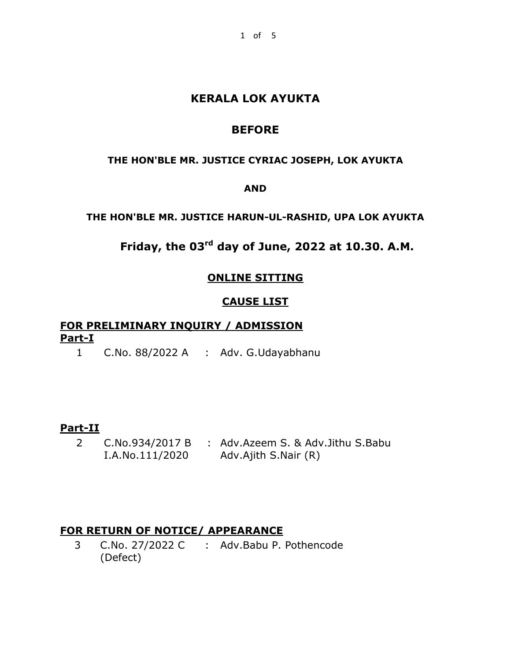# **KERALA LOK AYUKTA**

# **BEFORE**

#### **THE HON'BLE MR. JUSTICE CYRIAC JOSEPH, LOK AYUKTA**

#### **AND**

#### **THE HON'BLE MR. JUSTICE HARUN-UL-RASHID, UPA LOK AYUKTA**

# **Friday, the 03rd day of June, 2022 at 10.30. A.M.**

# **ONLINE SITTING**

# **CAUSE LIST**

# **FOR PRELIMINARY INQUIRY / ADMISSION Part-I**

1 C.No. 88/2022 A : Adv. G.Udayabhanu

## **Part-II**

2 C.No.934/2017 B : Adv.Azeem S. & Adv.Jithu S.Babu I.A.No.111/2020 Adv.Ajith S.Nair (R)

## **FOR RETURN OF NOTICE/ APPEARANCE**

3 C.No. 27/2022 C : Adv.Babu P. Pothencode(Defect)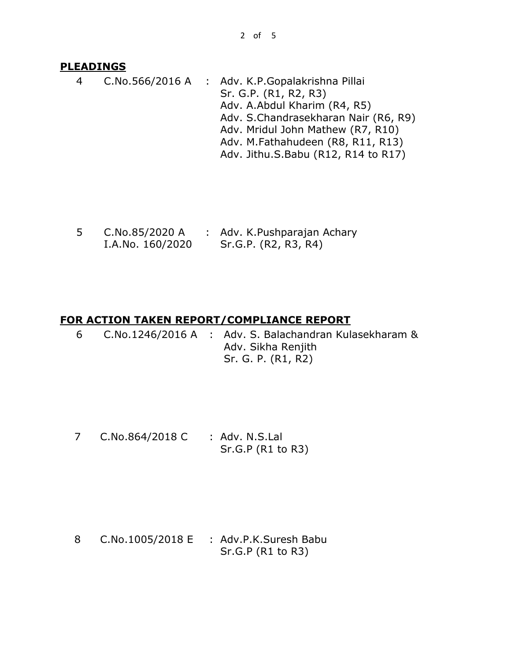#### **PLEADINGS**

4 C.No.566/2016 A : Adv. K.P.Gopalakrishna Pillai Sr. G.P. (R1, R2, R3) Adv. A.Abdul Kharim (R4, R5) Adv. S.Chandrasekharan Nair (R6, R9) Adv. Mridul John Mathew (R7, R10) Adv. M.Fathahudeen (R8, R11, R13) Adv. Jithu.S.Babu (R12, R14 to R17)

5 C.No.85/2020 A I.A.No. 160/2020 : Adv. K.Pushparajan Achary Sr.G.P. (R2, R3, R4)

#### **FOR ACTION TAKEN REPORT/COMPLIANCE REPORT**

6 C.No.1246/2016 A : Adv. S. Balachandran Kulasekharam & Adv. Sikha Renjith Sr. G. P. (R1, R2)

7 C.No.864/2018 C : Adv. N.S.Lal Sr.G.P (R1 to R3)

8 C.No.1005/2018 E : Adv.P.K.Suresh Babu Sr.G.P (R1 to R3)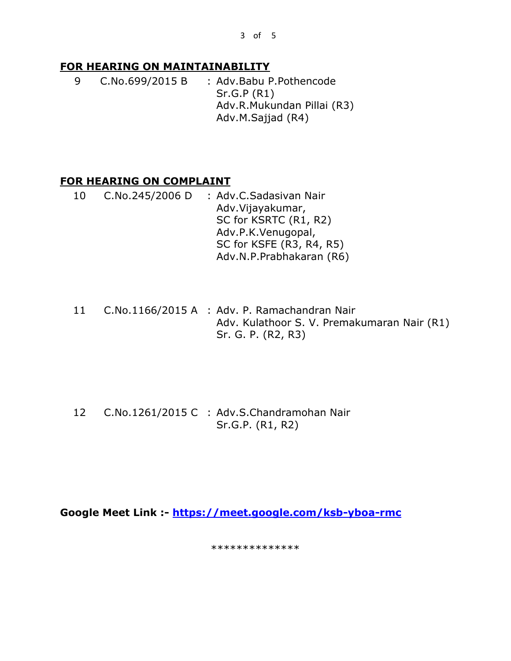3 of 5

# **FOR HEARING ON MAINTAINABILITY**

9 C.No.699/2015 B : Adv.Babu P.Pothencode Sr.G.P (R1) Adv.R.Mukundan Pillai (R3) Adv.M.Sajjad (R4)

# **FOR HEARING ON COMPLAINT**

- 10 C.No.245/2006 D : Adv.C.Sadasivan Nair Adv.Vijayakumar, SC for KSRTC (R1, R2) Adv.P.K.Venugopal, SC for KSFE (R3, R4, R5) Adv.N.P.Prabhakaran (R6)
- 11 C.No.1166/2015 A : Adv. P. Ramachandran Nair Adv. Kulathoor S. V. Premakumaran Nair (R1) Sr. G. P. (R2, R3)

12 C.No.1261/2015 C : Adv.S.Chandramohan Nair Sr.G.P. (R1, R2)

**Google Meet Link :- <https://meet.google.com/ksb-yboa-rmc>**

\*\*\*\*\*\*\*\*\*\*\*\*\*\*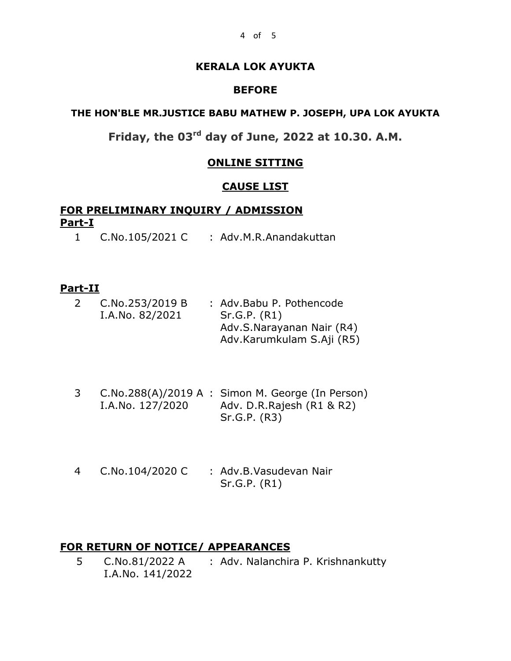#### **KERALA LOK AYUKTA**

#### **BEFORE**

#### **THE HON'BLE MR.JUSTICE BABU MATHEW P. JOSEPH, UPA LOK AYUKTA**

# **Friday, the 03rd day of June, 2022 at 10.30. A.M.**

#### **ONLINE SITTING**

#### **CAUSE LIST**

## **FOR PRELIMINARY INQUIRY / ADMISSION Part-I**

1 C.No.105/2021 C : Adv.M.R.Anandakuttan

## **Part-II**

| C.No.253/2019 B | : Adv.Babu P. Pothencode  |
|-----------------|---------------------------|
| I.A.No. 82/2021 | Sr.G.P. (R1)              |
|                 | Adv.S.Narayanan Nair (R4) |
|                 | Adv.Karumkulam S.Aji (R5) |
|                 |                           |

- 3 C.No.288(A)/2019 A : Simon M. George (In Person) I.A.No. 127/2020 Adv. D.R.Rajesh (R1 & R2) Sr.G.P. (R3)
- 4 C.No.104/2020 C : Adv.B.Vasudevan Nair Sr.G.P. (R1)

#### **FOR RETURN OF NOTICE/ APPEARANCES**

5 C.No.81/2022 A : Adv. Nalanchira P. KrishnankuttyI.A.No. 141/2022